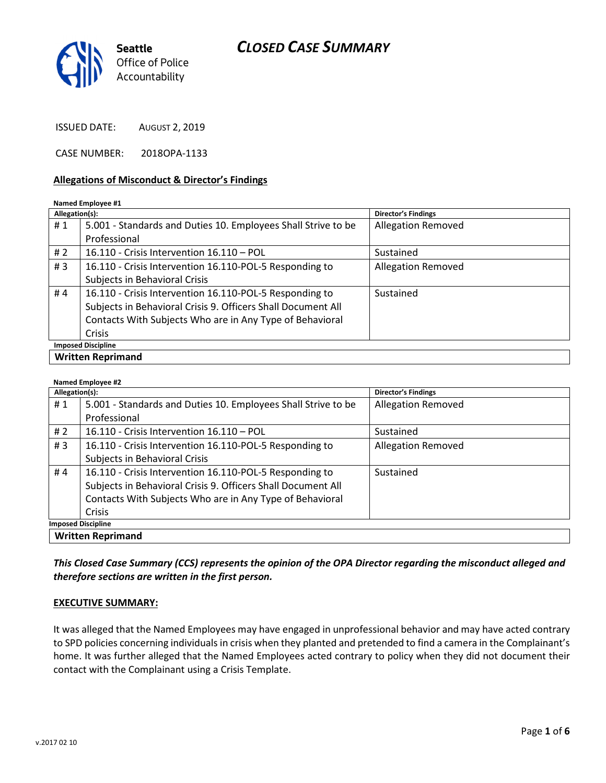# CLOSED CASE SUMMARY



ISSUED DATE: AUGUST 2, 2019

CASE NUMBER: 2018OPA-1133

#### Allegations of Misconduct & Director's Findings

#### Named Employee #1

| Allegation(s):            |                                                               | <b>Director's Findings</b> |  |
|---------------------------|---------------------------------------------------------------|----------------------------|--|
| #1                        | 5.001 - Standards and Duties 10. Employees Shall Strive to be | <b>Allegation Removed</b>  |  |
|                           | Professional                                                  |                            |  |
| # $2$                     | 16.110 - Crisis Intervention 16.110 - POL                     | Sustained                  |  |
| #3                        | 16.110 - Crisis Intervention 16.110-POL-5 Responding to       | <b>Allegation Removed</b>  |  |
|                           | Subjects in Behavioral Crisis                                 |                            |  |
| #4                        | 16.110 - Crisis Intervention 16.110-POL-5 Responding to       | Sustained                  |  |
|                           | Subjects in Behavioral Crisis 9. Officers Shall Document All  |                            |  |
|                           | Contacts With Subjects Who are in Any Type of Behavioral      |                            |  |
|                           | Crisis                                                        |                            |  |
| <b>Imposed Discipline</b> |                                                               |                            |  |
| <b>Written Reprimand</b>  |                                                               |                            |  |

#### Named Employee #2

| <b>Natiled Elliployee #2</b> |                                                               |                            |  |
|------------------------------|---------------------------------------------------------------|----------------------------|--|
| Allegation(s):               |                                                               | <b>Director's Findings</b> |  |
| #1                           | 5.001 - Standards and Duties 10. Employees Shall Strive to be | <b>Allegation Removed</b>  |  |
|                              | Professional                                                  |                            |  |
| # 2                          | 16.110 - Crisis Intervention 16.110 - POL                     | Sustained                  |  |
| #3                           | 16.110 - Crisis Intervention 16.110-POL-5 Responding to       | <b>Allegation Removed</b>  |  |
|                              | Subjects in Behavioral Crisis                                 |                            |  |
| #4                           | 16.110 - Crisis Intervention 16.110-POL-5 Responding to       | Sustained                  |  |
|                              | Subjects in Behavioral Crisis 9. Officers Shall Document All  |                            |  |
|                              | Contacts With Subjects Who are in Any Type of Behavioral      |                            |  |
|                              | Crisis                                                        |                            |  |
| <b>Imposed Discipline</b>    |                                                               |                            |  |
| <b>Written Reprimand</b>     |                                                               |                            |  |

This Closed Case Summary (CCS) represents the opinion of the OPA Director regarding the misconduct alleged and therefore sections are written in the first person.

#### EXECUTIVE SUMMARY:

It was alleged that the Named Employees may have engaged in unprofessional behavior and may have acted contrary to SPD policies concerning individuals in crisis when they planted and pretended to find a camera in the Complainant's home. It was further alleged that the Named Employees acted contrary to policy when they did not document their contact with the Complainant using a Crisis Template.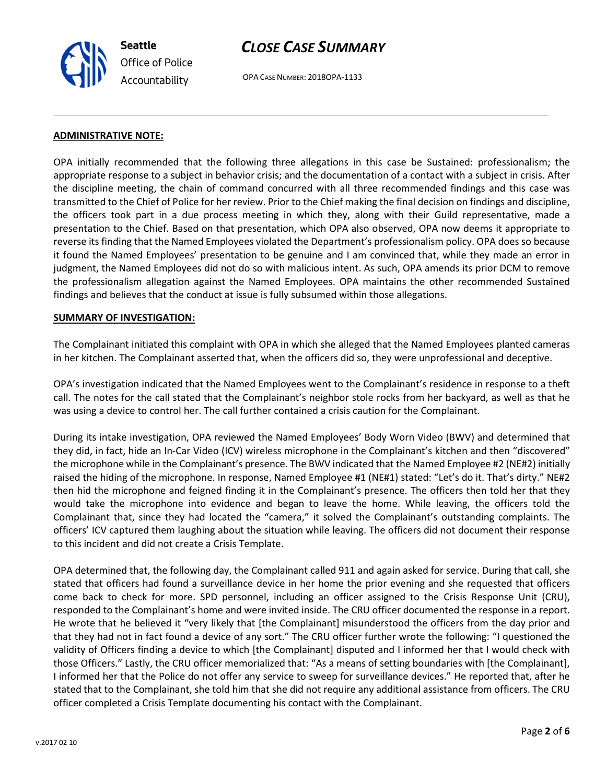Seattle Office of Police Accountability

# CLOSE CASE SUMMARY

OPA CASE NUMBER: 2018OPA-1133

### ADMINISTRATIVE NOTE:

OPA initially recommended that the following three allegations in this case be Sustained: professionalism; the appropriate response to a subject in behavior crisis; and the documentation of a contact with a subject in crisis. After the discipline meeting, the chain of command concurred with all three recommended findings and this case was transmitted to the Chief of Police for her review. Prior to the Chief making the final decision on findings and discipline, the officers took part in a due process meeting in which they, along with their Guild representative, made a presentation to the Chief. Based on that presentation, which OPA also observed, OPA now deems it appropriate to reverse its finding that the Named Employees violated the Department's professionalism policy. OPA does so because it found the Named Employees' presentation to be genuine and I am convinced that, while they made an error in judgment, the Named Employees did not do so with malicious intent. As such, OPA amends its prior DCM to remove the professionalism allegation against the Named Employees. OPA maintains the other recommended Sustained findings and believes that the conduct at issue is fully subsumed within those allegations.

### SUMMARY OF INVESTIGATION:

The Complainant initiated this complaint with OPA in which she alleged that the Named Employees planted cameras in her kitchen. The Complainant asserted that, when the officers did so, they were unprofessional and deceptive.

OPA's investigation indicated that the Named Employees went to the Complainant's residence in response to a theft call. The notes for the call stated that the Complainant's neighbor stole rocks from her backyard, as well as that he was using a device to control her. The call further contained a crisis caution for the Complainant.

During its intake investigation, OPA reviewed the Named Employees' Body Worn Video (BWV) and determined that they did, in fact, hide an In-Car Video (ICV) wireless microphone in the Complainant's kitchen and then "discovered" the microphone while in the Complainant's presence. The BWV indicated that the Named Employee #2 (NE#2) initially raised the hiding of the microphone. In response, Named Employee #1 (NE#1) stated: "Let's do it. That's dirty." NE#2 then hid the microphone and feigned finding it in the Complainant's presence. The officers then told her that they would take the microphone into evidence and began to leave the home. While leaving, the officers told the Complainant that, since they had located the "camera," it solved the Complainant's outstanding complaints. The officers' ICV captured them laughing about the situation while leaving. The officers did not document their response to this incident and did not create a Crisis Template.

OPA determined that, the following day, the Complainant called 911 and again asked for service. During that call, she stated that officers had found a surveillance device in her home the prior evening and she requested that officers come back to check for more. SPD personnel, including an officer assigned to the Crisis Response Unit (CRU), responded to the Complainant's home and were invited inside. The CRU officer documented the response in a report. He wrote that he believed it "very likely that [the Complainant] misunderstood the officers from the day prior and that they had not in fact found a device of any sort." The CRU officer further wrote the following: "I questioned the validity of Officers finding a device to which [the Complainant] disputed and I informed her that I would check with those Officers." Lastly, the CRU officer memorialized that: "As a means of setting boundaries with [the Complainant], I informed her that the Police do not offer any service to sweep for surveillance devices." He reported that, after he stated that to the Complainant, she told him that she did not require any additional assistance from officers. The CRU officer completed a Crisis Template documenting his contact with the Complainant.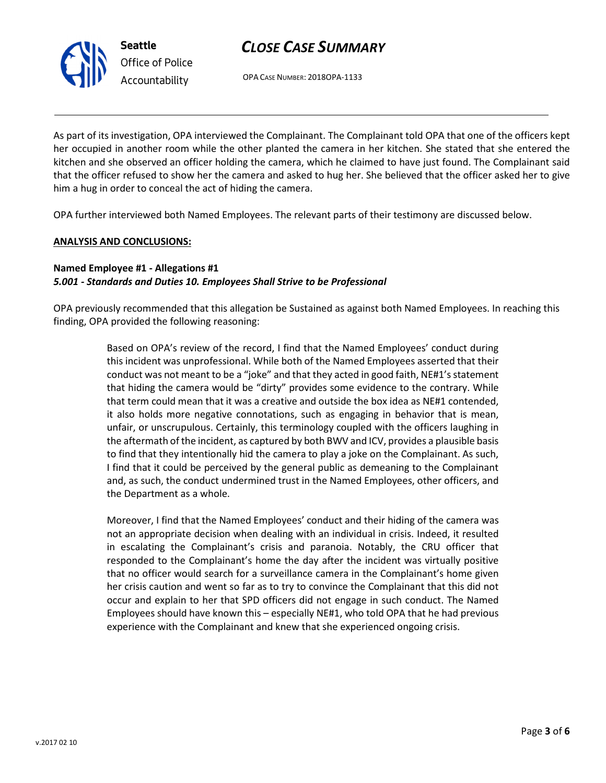v.2017 02 10

# CLOSE CASE SUMMARY

OPA CASE NUMBER: 2018OPA-1133

As part of its investigation, OPA interviewed the Complainant. The Complainant told OPA that one of the officers kept her occupied in another room while the other planted the camera in her kitchen. She stated that she entered the kitchen and she observed an officer holding the camera, which he claimed to have just found. The Complainant said that the officer refused to show her the camera and asked to hug her. She believed that the officer asked her to give him a hug in order to conceal the act of hiding the camera.

OPA further interviewed both Named Employees. The relevant parts of their testimony are discussed below.

### ANALYSIS AND CONCLUSIONS:

Seattle

Office of Police Accountability

### Named Employee #1 - Allegations #1 5.001 - Standards and Duties 10. Employees Shall Strive to be Professional

OPA previously recommended that this allegation be Sustained as against both Named Employees. In reaching this finding, OPA provided the following reasoning:

> Based on OPA's review of the record, I find that the Named Employees' conduct during this incident was unprofessional. While both of the Named Employees asserted that their conduct was not meant to be a "joke" and that they acted in good faith, NE#1's statement that hiding the camera would be "dirty" provides some evidence to the contrary. While that term could mean that it was a creative and outside the box idea as NE#1 contended, it also holds more negative connotations, such as engaging in behavior that is mean, unfair, or unscrupulous. Certainly, this terminology coupled with the officers laughing in the aftermath of the incident, as captured by both BWV and ICV, provides a plausible basis to find that they intentionally hid the camera to play a joke on the Complainant. As such, I find that it could be perceived by the general public as demeaning to the Complainant and, as such, the conduct undermined trust in the Named Employees, other officers, and the Department as a whole.

> Moreover, I find that the Named Employees' conduct and their hiding of the camera was not an appropriate decision when dealing with an individual in crisis. Indeed, it resulted in escalating the Complainant's crisis and paranoia. Notably, the CRU officer that responded to the Complainant's home the day after the incident was virtually positive that no officer would search for a surveillance camera in the Complainant's home given her crisis caution and went so far as to try to convince the Complainant that this did not occur and explain to her that SPD officers did not engage in such conduct. The Named Employees should have known this – especially NE#1, who told OPA that he had previous experience with the Complainant and knew that she experienced ongoing crisis.

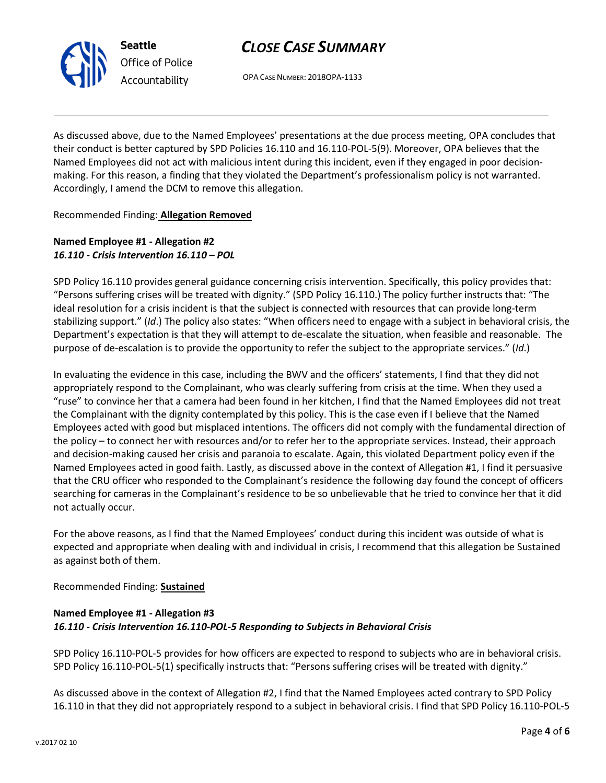# CLOSE CASE SUMMARY

OPA CASE NUMBER: 2018OPA-1133

As discussed above, due to the Named Employees' presentations at the due process meeting, OPA concludes that their conduct is better captured by SPD Policies 16.110 and 16.110-POL-5(9). Moreover, OPA believes that the Named Employees did not act with malicious intent during this incident, even if they engaged in poor decisionmaking. For this reason, a finding that they violated the Department's professionalism policy is not warranted. Accordingly, I amend the DCM to remove this allegation.

Recommended Finding: Allegation Removed

## Named Employee #1 - Allegation #2 16.110 - Crisis Intervention 16.110 – POL

SPD Policy 16.110 provides general guidance concerning crisis intervention. Specifically, this policy provides that: "Persons suffering crises will be treated with dignity." (SPD Policy 16.110.) The policy further instructs that: "The ideal resolution for a crisis incident is that the subject is connected with resources that can provide long-term stabilizing support." (Id.) The policy also states: "When officers need to engage with a subject in behavioral crisis, the Department's expectation is that they will attempt to de-escalate the situation, when feasible and reasonable. The purpose of de-escalation is to provide the opportunity to refer the subject to the appropriate services." (Id.)

In evaluating the evidence in this case, including the BWV and the officers' statements, I find that they did not appropriately respond to the Complainant, who was clearly suffering from crisis at the time. When they used a "ruse" to convince her that a camera had been found in her kitchen, I find that the Named Employees did not treat the Complainant with the dignity contemplated by this policy. This is the case even if I believe that the Named Employees acted with good but misplaced intentions. The officers did not comply with the fundamental direction of the policy – to connect her with resources and/or to refer her to the appropriate services. Instead, their approach and decision-making caused her crisis and paranoia to escalate. Again, this violated Department policy even if the Named Employees acted in good faith. Lastly, as discussed above in the context of Allegation #1, I find it persuasive that the CRU officer who responded to the Complainant's residence the following day found the concept of officers searching for cameras in the Complainant's residence to be so unbelievable that he tried to convince her that it did not actually occur.

For the above reasons, as I find that the Named Employees' conduct during this incident was outside of what is expected and appropriate when dealing with and individual in crisis, I recommend that this allegation be Sustained as against both of them.

Recommended Finding: Sustained

# Named Employee #1 - Allegation #3 16.110 - Crisis Intervention 16.110-POL-5 Responding to Subjects in Behavioral Crisis

SPD Policy 16.110-POL-5 provides for how officers are expected to respond to subjects who are in behavioral crisis. SPD Policy 16.110-POL-5(1) specifically instructs that: "Persons suffering crises will be treated with dignity."

As discussed above in the context of Allegation #2, I find that the Named Employees acted contrary to SPD Policy 16.110 in that they did not appropriately respond to a subject in behavioral crisis. I find that SPD Policy 16.110-POL-5



Seattle Office of Police Accountability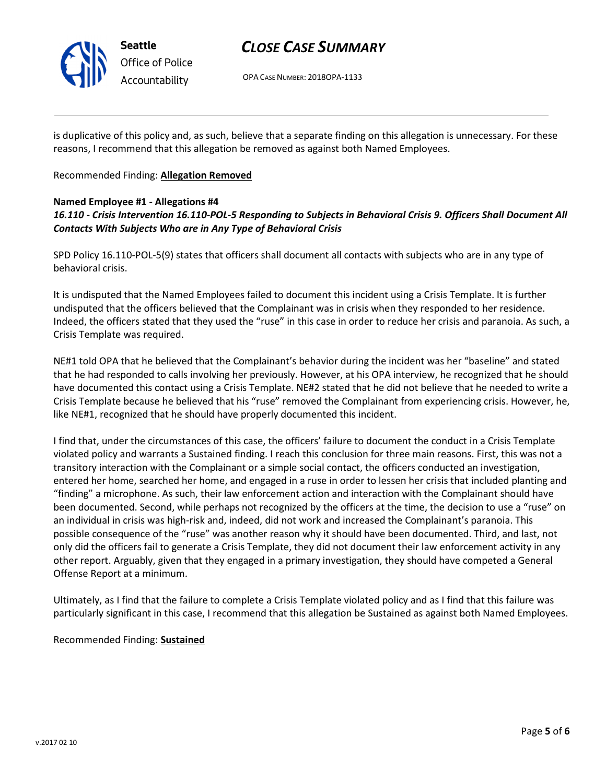

Seattle Office of Police Accountability

# CLOSE CASE SUMMARY

OPA CASE NUMBER: 2018OPA-1133

is duplicative of this policy and, as such, believe that a separate finding on this allegation is unnecessary. For these reasons, I recommend that this allegation be removed as against both Named Employees.

## Recommended Finding: Allegation Removed

## Named Employee #1 - Allegations #4

# 16.110 - Crisis Intervention 16.110-POL-5 Responding to Subjects in Behavioral Crisis 9. Officers Shall Document All Contacts With Subjects Who are in Any Type of Behavioral Crisis

SPD Policy 16.110-POL-5(9) states that officers shall document all contacts with subjects who are in any type of behavioral crisis.

It is undisputed that the Named Employees failed to document this incident using a Crisis Template. It is further undisputed that the officers believed that the Complainant was in crisis when they responded to her residence. Indeed, the officers stated that they used the "ruse" in this case in order to reduce her crisis and paranoia. As such, a Crisis Template was required.

NE#1 told OPA that he believed that the Complainant's behavior during the incident was her "baseline" and stated that he had responded to calls involving her previously. However, at his OPA interview, he recognized that he should have documented this contact using a Crisis Template. NE#2 stated that he did not believe that he needed to write a Crisis Template because he believed that his "ruse" removed the Complainant from experiencing crisis. However, he, like NE#1, recognized that he should have properly documented this incident.

I find that, under the circumstances of this case, the officers' failure to document the conduct in a Crisis Template violated policy and warrants a Sustained finding. I reach this conclusion for three main reasons. First, this was not a transitory interaction with the Complainant or a simple social contact, the officers conducted an investigation, entered her home, searched her home, and engaged in a ruse in order to lessen her crisis that included planting and "finding" a microphone. As such, their law enforcement action and interaction with the Complainant should have been documented. Second, while perhaps not recognized by the officers at the time, the decision to use a "ruse" on an individual in crisis was high-risk and, indeed, did not work and increased the Complainant's paranoia. This possible consequence of the "ruse" was another reason why it should have been documented. Third, and last, not only did the officers fail to generate a Crisis Template, they did not document their law enforcement activity in any other report. Arguably, given that they engaged in a primary investigation, they should have competed a General Offense Report at a minimum.

Ultimately, as I find that the failure to complete a Crisis Template violated policy and as I find that this failure was particularly significant in this case, I recommend that this allegation be Sustained as against both Named Employees.

### Recommended Finding: Sustained